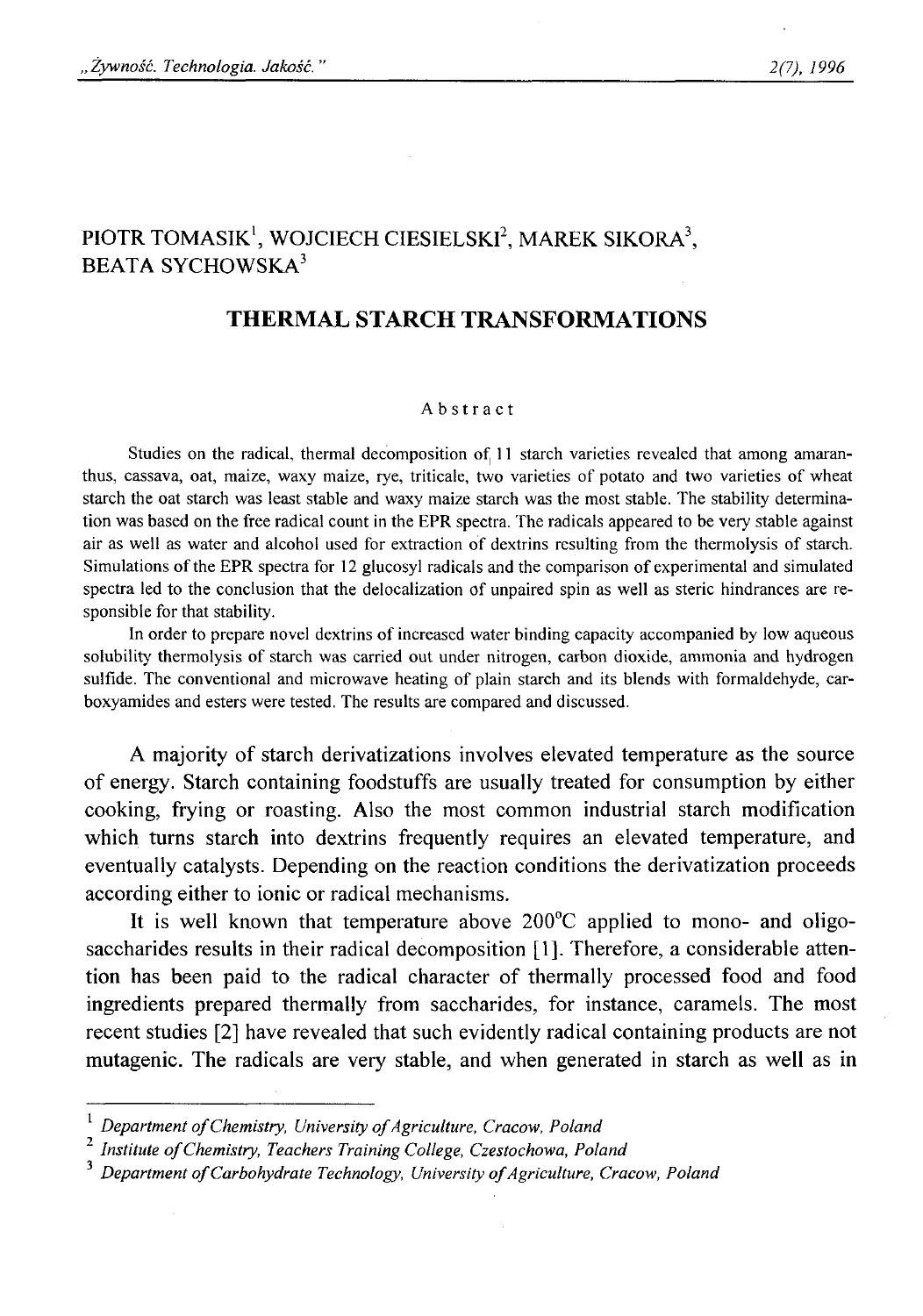# PIOTR TOMASIK<sup>1</sup>, WOJCIECH CIESIELSKI<sup>2</sup>, MAREK SIKORA<sup>3</sup>, BEATA SYCHOWSKA<sup>3</sup>

## **THERMAL STARCH TRANSFORMATIONS**

### **Abstract**

Studies on the radical, thermal decomposition of 11 starch varieties revealed that among amaranthus, cassava, oat, maize, waxy maize, rye, triticale, two varieties of potato and two varieties of wheat **starch the oat starch was least stable and waxy maize starch was the most stable. The stability determination was based on the free radical count in the EPR spectra. The radicals appeared to be very stable against** air as well as water and alcohol used for extraction of dextrins resulting from the thermolysis of starch. Simulations of the EPR spectra for 12 glucosyl radicals and the comparison of experimental and simulated spectra led to the conclusion that the delocalization of unpaired spin as well as steric hindrances are re**sponsible for that stability.**

In order to prepare novel dextrins of increased water binding capacity accompanied by low aqueous **solubility thermolysis of starch was carried out under nitrogen, carbon dioxide, ammonia and hydrogen sulfide. The conventional and microwave heating of plain starch and its blends with formaldehyde, carboxyamides and esters were tested. The results are compared and discussed.**

A majority of starch derivatizations involves elevated temperature as the source of energy. Starch containing foodstuffs are usually treated for consumption by either cooking, frying or roasting. Also the most common industrial starch modification which turns starch into dextrins frequently requires an elevated temperature, and eventually catalysts. Depending on the reaction conditions the derivatization proceeds according either to ionic or radical mechanisms.

It is well known that temperature above 200°C applied to mono- and oligosaccharides results in their radical decomposition [1]. Therefore, a considerable attention has been paid to the radical character of thermally processed food and food ingredients prepared thermally from saccharides, for instance, caramels. The most recent studies [2 ] have revealed that such evidently radical containing products are not mutagenic. The radicals are very stable, and when generated in starch as well as in

**<sup>1</sup>***Department of Chemistry, University of Agriculture, Cracow, Poland* 

<sup>&</sup>lt;sup>2</sup> Institute of Chemistry, Teachers Training College, Czestochowa, Poland

<sup>&</sup>lt;sup>3</sup> Department of Carbohydrate Technology, University of Agriculture, Cracow, Polana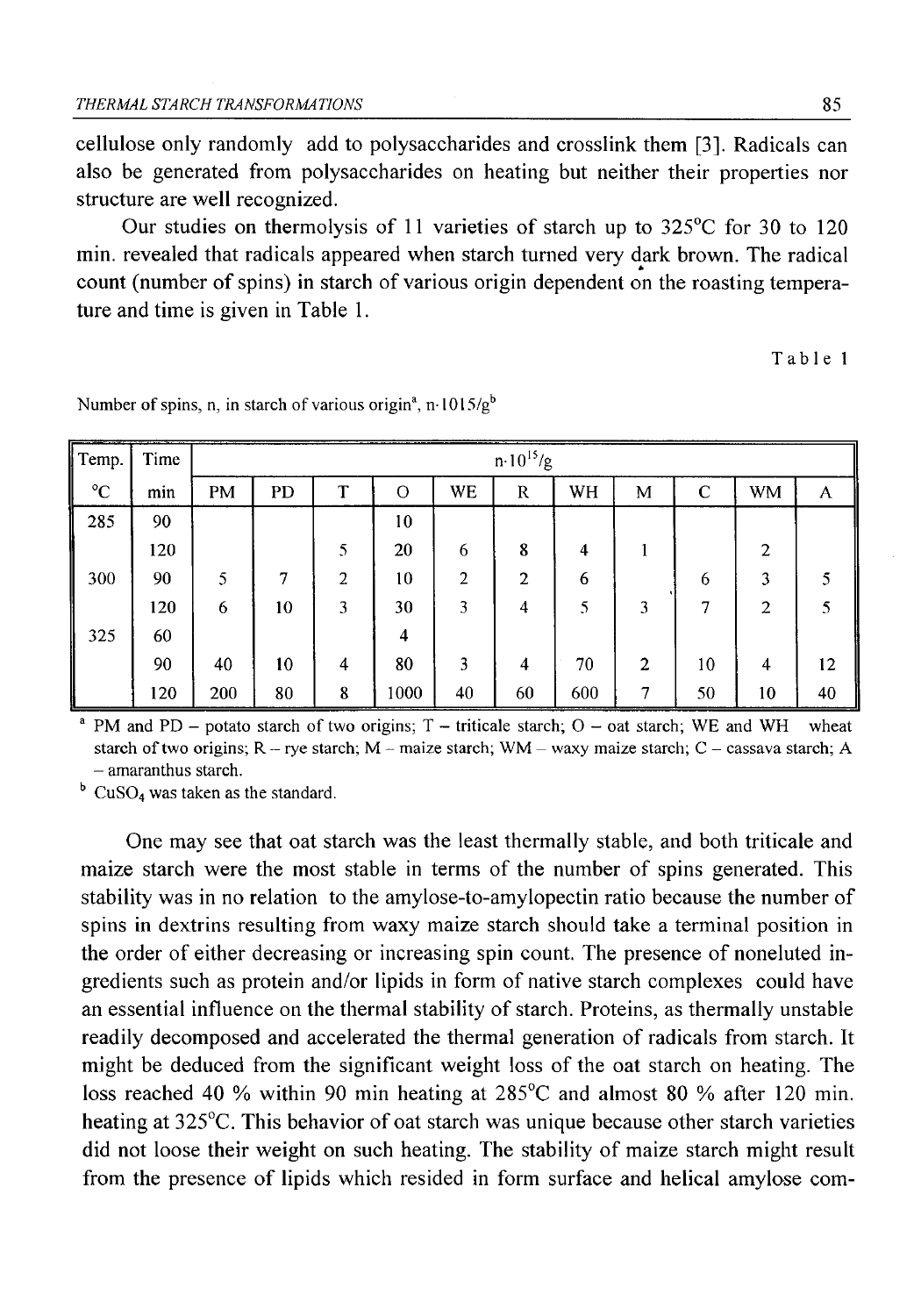cellulose only randomly add to polysaccharides and crosslink them [3]. Radicals can also be generated from polysaccharides on heating but neither their properties nor structure are well recognized.

Our studies on thermolysis of 11 varieties of starch up to 325°C for 30 to 120 min. revealed that radicals appeared when starch turned very dark brown. The radical count (number of spins) in starch of various origin dependent on the roasting temperature and time is given in Table 1.

**Table 1**

| Temp.       | Time | $n \cdot 10^{15}/g$ |    |   |         |                |              |     |                |    |                |    |
|-------------|------|---------------------|----|---|---------|----------------|--------------|-----|----------------|----|----------------|----|
| $^{\circ}C$ | min  | <b>PM</b>           | PD | T | $\circ$ | <b>WE</b>      | $\mathbf R$  | WH  | М              | C  | <b>WM</b>      | A  |
| 285         | 90   |                     |    |   | 10      |                |              |     |                |    |                |    |
|             | 120  |                     |    | 5 | 20      | 6              | 8            | 4   |                |    | $\overline{2}$ |    |
| 300         | 90   | 5                   | 7  | 2 | 10      | $\overline{2}$ | $\mathbf{2}$ | 6   |                | 6  | 3              |    |
|             | 120  | 6                   | 10 | 3 | 30      | 3              | 4            | 5   | 3              | 7  | $\overline{c}$ | 5  |
| 325         | 60   |                     |    |   | 4       |                |              |     |                |    |                |    |
|             | 90   | 40                  | 10 | 4 | 80      | 3              | 4            | 70  | $\overline{2}$ | 10 | $\overline{4}$ | 12 |
|             | 120  | 200                 | 80 | 8 | 1000    | 40             | 60           | 600 | 7              | 50 | 10             | 40 |

Number of spins, n, in starch of various origin<sup>a</sup>, n-1015/g<sup>b</sup>

<sup>a</sup> PM and PD – potato starch of two origins;  $T$  – triticale starch;  $O$  – oat starch; WE and WH wheat starch of two origins; R – rye starch; M – maize starch; WM – waxy maize starch; C – cassava starch; A **- amaranthus starch.**

**b C uS0**4 **was taken as the standard.**

One may see that oat starch was the least thermally stable, and both triticale and maize starch were the most stable in terms of the number of spins generated. This stability was in no relation to the amylose-to-amylopectin ratio because the number of spins in dextrins resulting from waxy maize starch should take a terminal position in the order of either decreasing or increasing spin count. The presence of noneluted ingredients such as protein and/or lipids in form of native starch complexes could have an essential influence on the thermal stability of starch. Proteins, as thermally unstable readily decomposed and accelerated the thermal generation of radicals from starch. It might be deduced from the significant weight loss of the oat starch on heating. The loss reached 40 % within 90 min heating at 285°C and almost 80 % after 120 min. heating at 325°C. This behavior of oat starch was unique because other starch varieties did not loose their weight on such heating. The stability of maize starch might result from the presence of lipids which resided in form surface and helical amylose com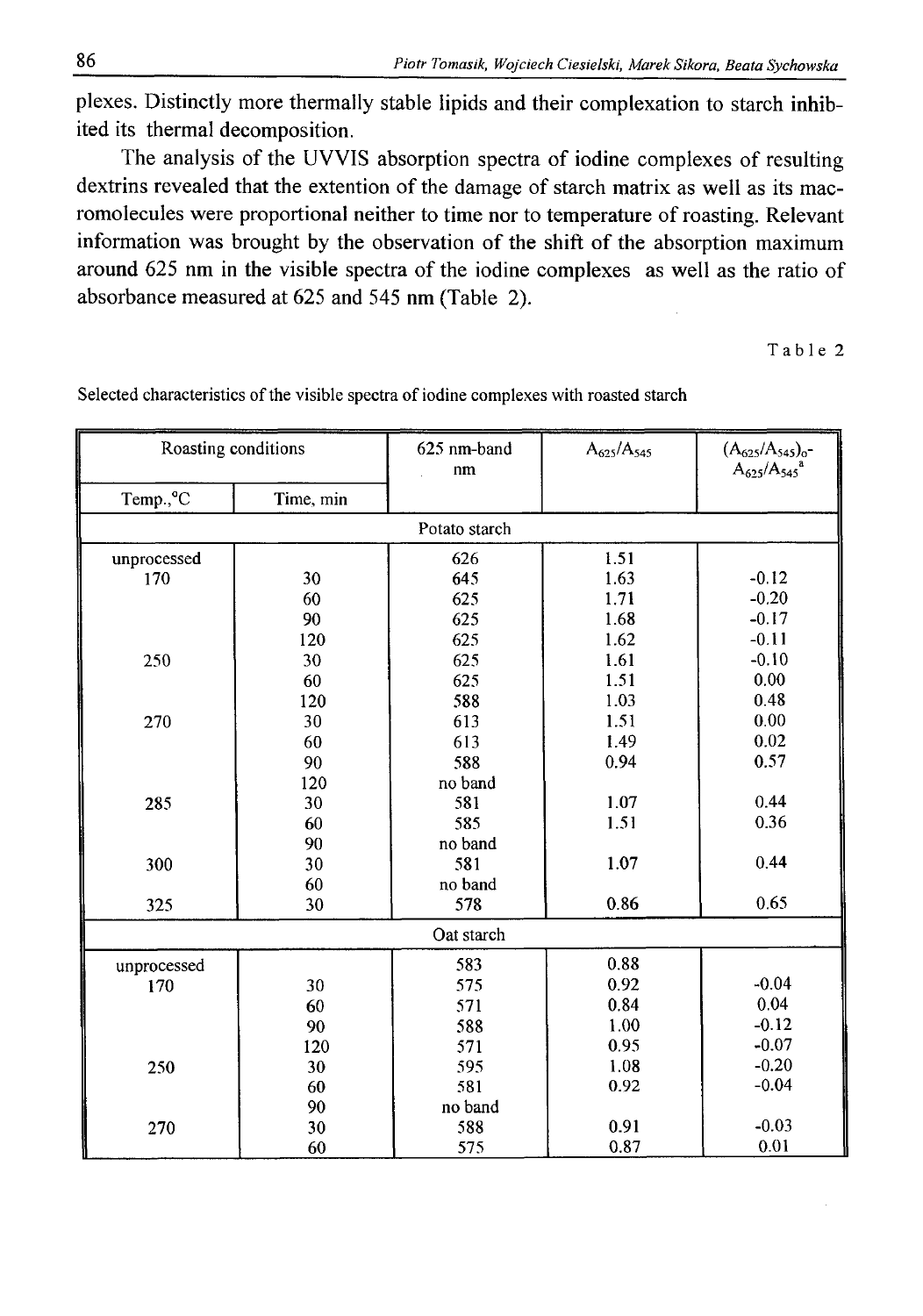plexes. Distinctly more thermally stable lipids and their complexation to starch inhibited its thermal decomposition.

The analysis of the UVVIS absorption spectra of iodine complexes of resulting dextrins revealed that the extention of the damage of starch matrix as well as its macromolecules were proportional neither to time nor to temperature of roasting. Relevant information was brought by the observation of the shift of the absorption maximum around 625 nm in the visible spectra of the iodine complexes as well as the ratio of absorbance measured at 625 and 545 nm (Table 2).

Table 2

| Roasting conditions    |            | 625 nm-band<br>nm | $A_{625}/A_{545}$ | $\begin{array}{cc} (A_{625}/A_{545})_{\rm o} \mbox{-} \\ A_{625}/A_{545} \mbox{}^{\rm a} \end{array}$ |  |  |  |
|------------------------|------------|-------------------|-------------------|-------------------------------------------------------------------------------------------------------|--|--|--|
| Temp., °C<br>Time, min |            |                   |                   |                                                                                                       |  |  |  |
|                        |            | Potato starch     |                   |                                                                                                       |  |  |  |
| unprocessed            |            | 626               | 1.51              |                                                                                                       |  |  |  |
| 170                    | 30         | 645               | 1.63              | $-0.12$                                                                                               |  |  |  |
|                        | 60         | 625               | 1.71              | $-0.20$                                                                                               |  |  |  |
|                        | 90         | 625               | 1.68              | $-0.17$                                                                                               |  |  |  |
|                        | 120        | 625               | 1.62              | $-0.11$                                                                                               |  |  |  |
| 250                    | 30         | 625               | 1.61              | $-0.10$                                                                                               |  |  |  |
|                        | 60         | 625               | 1.51              | 0.00                                                                                                  |  |  |  |
|                        | 120        | 588               | 1.03              | 0.48                                                                                                  |  |  |  |
| 270                    | 30         | 613               | 1.51              | 0.00                                                                                                  |  |  |  |
|                        | 60         | 613               | 1.49              | 0.02                                                                                                  |  |  |  |
|                        | 90         | 588               | 0.94              | 0.57                                                                                                  |  |  |  |
|                        | 120        | no band           |                   |                                                                                                       |  |  |  |
| 285                    | 30         | 581               | 1.07              | 0.44                                                                                                  |  |  |  |
|                        | 60         | 585               | 1.51              | 0.36                                                                                                  |  |  |  |
|                        | 90         | no band           |                   |                                                                                                       |  |  |  |
| 300                    | 30         | 581               | 1.07              | 0.44                                                                                                  |  |  |  |
|                        | 60         | no band           |                   |                                                                                                       |  |  |  |
| 325                    | 30         | 578               | 0.86              | 0.65                                                                                                  |  |  |  |
|                        | Oat starch |                   |                   |                                                                                                       |  |  |  |
| unprocessed            |            | 583               | 0.88              |                                                                                                       |  |  |  |
| 170                    | 30         | 575               | 0.92              | $-0.04$                                                                                               |  |  |  |
|                        | 60         | 571               | 0.84              | 0.04                                                                                                  |  |  |  |
|                        | 90         | 588               | 1.00              | $-0.12$                                                                                               |  |  |  |
|                        | 120        | 571               | 0.95              | $-0.07$                                                                                               |  |  |  |
| 250                    | 30         | 595               | 1.08              | $-0.20$                                                                                               |  |  |  |
|                        | 60         | 581               | 0.92              | $-0.04$                                                                                               |  |  |  |
|                        | 90         | no band           |                   |                                                                                                       |  |  |  |
| 270                    | 30         | 588               | 0.91              | $-0.03$                                                                                               |  |  |  |
|                        | 60         | 575               | 0.87              | 0.01                                                                                                  |  |  |  |

Selected characteristics of the visible spectra of iodine complexes with roasted starch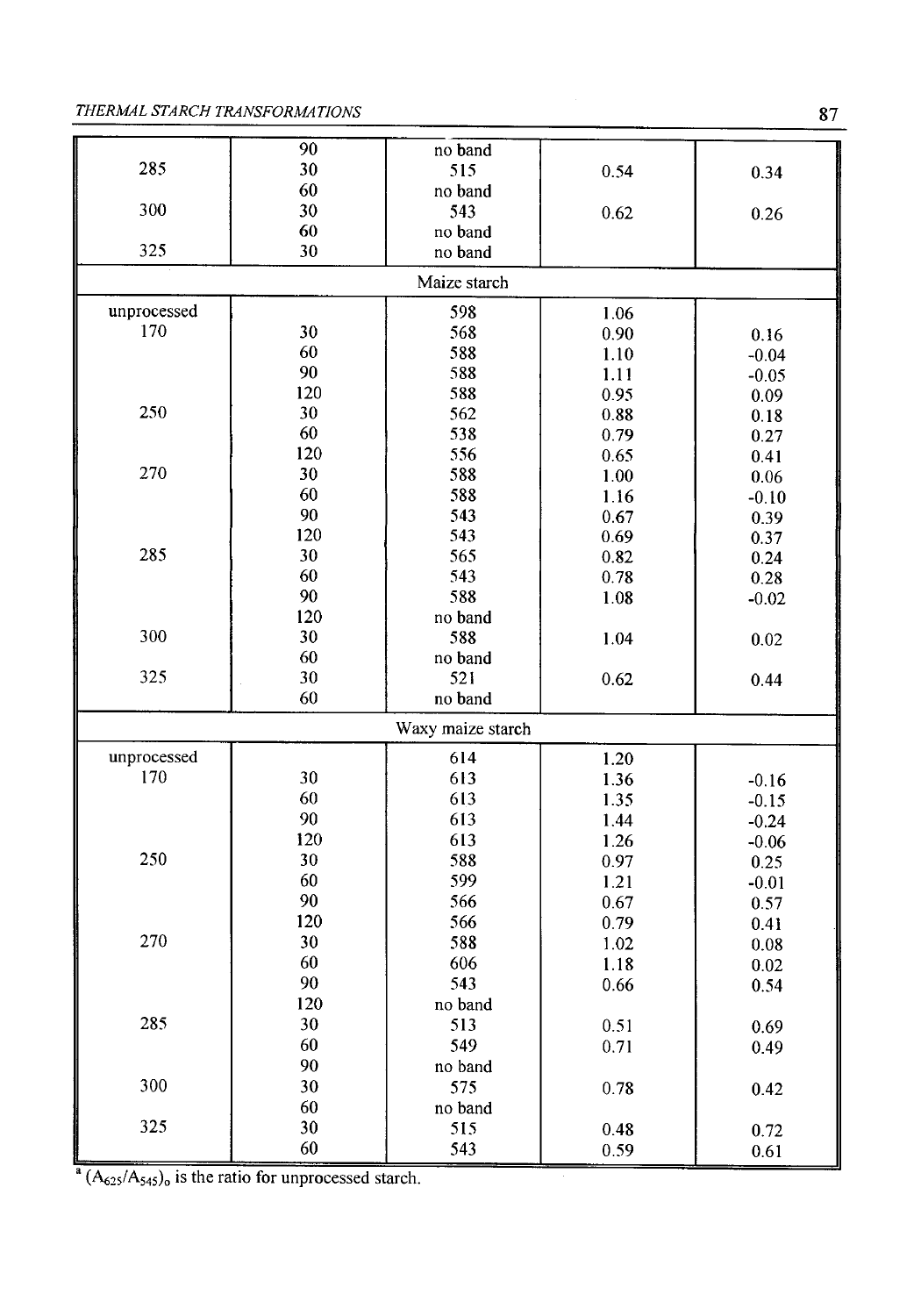### **THERMAL STARCH TRANSFORMATIONS** 87

| 90<br>no band<br>285<br>30<br>515<br>0.54<br>0.34<br>60<br>no band<br>300<br>30<br>543<br>0.62<br>0.26<br>60<br>no band<br>325<br>30<br>no band<br>Maize starch<br>unprocessed<br>598<br>1.06<br>170<br>568<br>30<br>$0.90\,$<br>0.16<br>60<br>588<br>1.10<br>$-0.04$<br>90<br>588<br>1.11<br>$-0.05$<br>120<br>588<br>0.95<br>0.09<br>250<br>30<br>562<br>0.88<br>0.18<br>60<br>538<br>0.79<br>0.27<br>120<br>556<br>0.65<br>0.41<br>270<br>30<br>588<br>1.00<br>0.06<br>60<br>588<br>1.16<br>$-0.10$<br>90<br>543<br>0.67<br>0.39<br>120<br>543<br>0.69<br>0.37<br>285<br>30<br>565<br>0.82<br>0.24<br>60<br>543<br>0.78<br>0.28<br>90<br>588<br>1.08<br>$-0.02$<br>120<br>no band<br>300<br>30<br>588<br>1.04<br>0.02<br>60<br>no band<br>325<br>30<br>521<br>0.62<br>0.44<br>60<br>no band<br>Waxy maize starch<br>unprocessed<br>614<br>1.20<br>170<br>30<br>613<br>1.36<br>$-0.16$<br>60<br>613<br>1.35<br>$-0.15$<br>90<br>613<br>1.44<br>$-0.24$<br>120<br>613<br>1.26<br>$-0.06$<br>250<br>30<br>588<br>0.97<br>0.25<br>60<br>599<br>1.21<br>$-0.01$<br>90<br>566<br>0.67<br>0.57<br>120<br>566<br>0.79<br>0.41<br>270<br>30<br>588<br>1.02<br>0.08<br>60<br>606<br>1.18<br>0.02<br>90<br>543<br>0.66<br>0.54<br>120<br>no band<br>285<br>30<br>513<br>0.51<br>0.69<br>60<br>549<br>0.71<br>0.49<br>90<br>no band<br>30<br>300<br>575<br>0.78<br>0.42<br>60<br>no band<br>325<br>30<br>515<br>0.48<br>0.72<br>60<br>543<br>0.59<br>0.61 |  |  |  |  |  |  |  |  |
|--------------------------------------------------------------------------------------------------------------------------------------------------------------------------------------------------------------------------------------------------------------------------------------------------------------------------------------------------------------------------------------------------------------------------------------------------------------------------------------------------------------------------------------------------------------------------------------------------------------------------------------------------------------------------------------------------------------------------------------------------------------------------------------------------------------------------------------------------------------------------------------------------------------------------------------------------------------------------------------------------------------------------------------------------------------------------------------------------------------------------------------------------------------------------------------------------------------------------------------------------------------------------------------------------------------------------------------------------------------------------------------------------------------------------------------------------|--|--|--|--|--|--|--|--|
|                                                                                                                                                                                                                                                                                                                                                                                                                                                                                                                                                                                                                                                                                                                                                                                                                                                                                                                                                                                                                                                                                                                                                                                                                                                                                                                                                                                                                                                  |  |  |  |  |  |  |  |  |
|                                                                                                                                                                                                                                                                                                                                                                                                                                                                                                                                                                                                                                                                                                                                                                                                                                                                                                                                                                                                                                                                                                                                                                                                                                                                                                                                                                                                                                                  |  |  |  |  |  |  |  |  |
|                                                                                                                                                                                                                                                                                                                                                                                                                                                                                                                                                                                                                                                                                                                                                                                                                                                                                                                                                                                                                                                                                                                                                                                                                                                                                                                                                                                                                                                  |  |  |  |  |  |  |  |  |
|                                                                                                                                                                                                                                                                                                                                                                                                                                                                                                                                                                                                                                                                                                                                                                                                                                                                                                                                                                                                                                                                                                                                                                                                                                                                                                                                                                                                                                                  |  |  |  |  |  |  |  |  |
|                                                                                                                                                                                                                                                                                                                                                                                                                                                                                                                                                                                                                                                                                                                                                                                                                                                                                                                                                                                                                                                                                                                                                                                                                                                                                                                                                                                                                                                  |  |  |  |  |  |  |  |  |
|                                                                                                                                                                                                                                                                                                                                                                                                                                                                                                                                                                                                                                                                                                                                                                                                                                                                                                                                                                                                                                                                                                                                                                                                                                                                                                                                                                                                                                                  |  |  |  |  |  |  |  |  |
|                                                                                                                                                                                                                                                                                                                                                                                                                                                                                                                                                                                                                                                                                                                                                                                                                                                                                                                                                                                                                                                                                                                                                                                                                                                                                                                                                                                                                                                  |  |  |  |  |  |  |  |  |
|                                                                                                                                                                                                                                                                                                                                                                                                                                                                                                                                                                                                                                                                                                                                                                                                                                                                                                                                                                                                                                                                                                                                                                                                                                                                                                                                                                                                                                                  |  |  |  |  |  |  |  |  |
|                                                                                                                                                                                                                                                                                                                                                                                                                                                                                                                                                                                                                                                                                                                                                                                                                                                                                                                                                                                                                                                                                                                                                                                                                                                                                                                                                                                                                                                  |  |  |  |  |  |  |  |  |
|                                                                                                                                                                                                                                                                                                                                                                                                                                                                                                                                                                                                                                                                                                                                                                                                                                                                                                                                                                                                                                                                                                                                                                                                                                                                                                                                                                                                                                                  |  |  |  |  |  |  |  |  |
|                                                                                                                                                                                                                                                                                                                                                                                                                                                                                                                                                                                                                                                                                                                                                                                                                                                                                                                                                                                                                                                                                                                                                                                                                                                                                                                                                                                                                                                  |  |  |  |  |  |  |  |  |
|                                                                                                                                                                                                                                                                                                                                                                                                                                                                                                                                                                                                                                                                                                                                                                                                                                                                                                                                                                                                                                                                                                                                                                                                                                                                                                                                                                                                                                                  |  |  |  |  |  |  |  |  |
|                                                                                                                                                                                                                                                                                                                                                                                                                                                                                                                                                                                                                                                                                                                                                                                                                                                                                                                                                                                                                                                                                                                                                                                                                                                                                                                                                                                                                                                  |  |  |  |  |  |  |  |  |
|                                                                                                                                                                                                                                                                                                                                                                                                                                                                                                                                                                                                                                                                                                                                                                                                                                                                                                                                                                                                                                                                                                                                                                                                                                                                                                                                                                                                                                                  |  |  |  |  |  |  |  |  |
|                                                                                                                                                                                                                                                                                                                                                                                                                                                                                                                                                                                                                                                                                                                                                                                                                                                                                                                                                                                                                                                                                                                                                                                                                                                                                                                                                                                                                                                  |  |  |  |  |  |  |  |  |
|                                                                                                                                                                                                                                                                                                                                                                                                                                                                                                                                                                                                                                                                                                                                                                                                                                                                                                                                                                                                                                                                                                                                                                                                                                                                                                                                                                                                                                                  |  |  |  |  |  |  |  |  |
|                                                                                                                                                                                                                                                                                                                                                                                                                                                                                                                                                                                                                                                                                                                                                                                                                                                                                                                                                                                                                                                                                                                                                                                                                                                                                                                                                                                                                                                  |  |  |  |  |  |  |  |  |
|                                                                                                                                                                                                                                                                                                                                                                                                                                                                                                                                                                                                                                                                                                                                                                                                                                                                                                                                                                                                                                                                                                                                                                                                                                                                                                                                                                                                                                                  |  |  |  |  |  |  |  |  |
|                                                                                                                                                                                                                                                                                                                                                                                                                                                                                                                                                                                                                                                                                                                                                                                                                                                                                                                                                                                                                                                                                                                                                                                                                                                                                                                                                                                                                                                  |  |  |  |  |  |  |  |  |
|                                                                                                                                                                                                                                                                                                                                                                                                                                                                                                                                                                                                                                                                                                                                                                                                                                                                                                                                                                                                                                                                                                                                                                                                                                                                                                                                                                                                                                                  |  |  |  |  |  |  |  |  |
|                                                                                                                                                                                                                                                                                                                                                                                                                                                                                                                                                                                                                                                                                                                                                                                                                                                                                                                                                                                                                                                                                                                                                                                                                                                                                                                                                                                                                                                  |  |  |  |  |  |  |  |  |
|                                                                                                                                                                                                                                                                                                                                                                                                                                                                                                                                                                                                                                                                                                                                                                                                                                                                                                                                                                                                                                                                                                                                                                                                                                                                                                                                                                                                                                                  |  |  |  |  |  |  |  |  |
|                                                                                                                                                                                                                                                                                                                                                                                                                                                                                                                                                                                                                                                                                                                                                                                                                                                                                                                                                                                                                                                                                                                                                                                                                                                                                                                                                                                                                                                  |  |  |  |  |  |  |  |  |
|                                                                                                                                                                                                                                                                                                                                                                                                                                                                                                                                                                                                                                                                                                                                                                                                                                                                                                                                                                                                                                                                                                                                                                                                                                                                                                                                                                                                                                                  |  |  |  |  |  |  |  |  |
|                                                                                                                                                                                                                                                                                                                                                                                                                                                                                                                                                                                                                                                                                                                                                                                                                                                                                                                                                                                                                                                                                                                                                                                                                                                                                                                                                                                                                                                  |  |  |  |  |  |  |  |  |
|                                                                                                                                                                                                                                                                                                                                                                                                                                                                                                                                                                                                                                                                                                                                                                                                                                                                                                                                                                                                                                                                                                                                                                                                                                                                                                                                                                                                                                                  |  |  |  |  |  |  |  |  |
|                                                                                                                                                                                                                                                                                                                                                                                                                                                                                                                                                                                                                                                                                                                                                                                                                                                                                                                                                                                                                                                                                                                                                                                                                                                                                                                                                                                                                                                  |  |  |  |  |  |  |  |  |
|                                                                                                                                                                                                                                                                                                                                                                                                                                                                                                                                                                                                                                                                                                                                                                                                                                                                                                                                                                                                                                                                                                                                                                                                                                                                                                                                                                                                                                                  |  |  |  |  |  |  |  |  |
|                                                                                                                                                                                                                                                                                                                                                                                                                                                                                                                                                                                                                                                                                                                                                                                                                                                                                                                                                                                                                                                                                                                                                                                                                                                                                                                                                                                                                                                  |  |  |  |  |  |  |  |  |
|                                                                                                                                                                                                                                                                                                                                                                                                                                                                                                                                                                                                                                                                                                                                                                                                                                                                                                                                                                                                                                                                                                                                                                                                                                                                                                                                                                                                                                                  |  |  |  |  |  |  |  |  |
|                                                                                                                                                                                                                                                                                                                                                                                                                                                                                                                                                                                                                                                                                                                                                                                                                                                                                                                                                                                                                                                                                                                                                                                                                                                                                                                                                                                                                                                  |  |  |  |  |  |  |  |  |
|                                                                                                                                                                                                                                                                                                                                                                                                                                                                                                                                                                                                                                                                                                                                                                                                                                                                                                                                                                                                                                                                                                                                                                                                                                                                                                                                                                                                                                                  |  |  |  |  |  |  |  |  |
|                                                                                                                                                                                                                                                                                                                                                                                                                                                                                                                                                                                                                                                                                                                                                                                                                                                                                                                                                                                                                                                                                                                                                                                                                                                                                                                                                                                                                                                  |  |  |  |  |  |  |  |  |
|                                                                                                                                                                                                                                                                                                                                                                                                                                                                                                                                                                                                                                                                                                                                                                                                                                                                                                                                                                                                                                                                                                                                                                                                                                                                                                                                                                                                                                                  |  |  |  |  |  |  |  |  |
|                                                                                                                                                                                                                                                                                                                                                                                                                                                                                                                                                                                                                                                                                                                                                                                                                                                                                                                                                                                                                                                                                                                                                                                                                                                                                                                                                                                                                                                  |  |  |  |  |  |  |  |  |
|                                                                                                                                                                                                                                                                                                                                                                                                                                                                                                                                                                                                                                                                                                                                                                                                                                                                                                                                                                                                                                                                                                                                                                                                                                                                                                                                                                                                                                                  |  |  |  |  |  |  |  |  |
|                                                                                                                                                                                                                                                                                                                                                                                                                                                                                                                                                                                                                                                                                                                                                                                                                                                                                                                                                                                                                                                                                                                                                                                                                                                                                                                                                                                                                                                  |  |  |  |  |  |  |  |  |
|                                                                                                                                                                                                                                                                                                                                                                                                                                                                                                                                                                                                                                                                                                                                                                                                                                                                                                                                                                                                                                                                                                                                                                                                                                                                                                                                                                                                                                                  |  |  |  |  |  |  |  |  |
|                                                                                                                                                                                                                                                                                                                                                                                                                                                                                                                                                                                                                                                                                                                                                                                                                                                                                                                                                                                                                                                                                                                                                                                                                                                                                                                                                                                                                                                  |  |  |  |  |  |  |  |  |
|                                                                                                                                                                                                                                                                                                                                                                                                                                                                                                                                                                                                                                                                                                                                                                                                                                                                                                                                                                                                                                                                                                                                                                                                                                                                                                                                                                                                                                                  |  |  |  |  |  |  |  |  |
|                                                                                                                                                                                                                                                                                                                                                                                                                                                                                                                                                                                                                                                                                                                                                                                                                                                                                                                                                                                                                                                                                                                                                                                                                                                                                                                                                                                                                                                  |  |  |  |  |  |  |  |  |
|                                                                                                                                                                                                                                                                                                                                                                                                                                                                                                                                                                                                                                                                                                                                                                                                                                                                                                                                                                                                                                                                                                                                                                                                                                                                                                                                                                                                                                                  |  |  |  |  |  |  |  |  |
|                                                                                                                                                                                                                                                                                                                                                                                                                                                                                                                                                                                                                                                                                                                                                                                                                                                                                                                                                                                                                                                                                                                                                                                                                                                                                                                                                                                                                                                  |  |  |  |  |  |  |  |  |
|                                                                                                                                                                                                                                                                                                                                                                                                                                                                                                                                                                                                                                                                                                                                                                                                                                                                                                                                                                                                                                                                                                                                                                                                                                                                                                                                                                                                                                                  |  |  |  |  |  |  |  |  |
|                                                                                                                                                                                                                                                                                                                                                                                                                                                                                                                                                                                                                                                                                                                                                                                                                                                                                                                                                                                                                                                                                                                                                                                                                                                                                                                                                                                                                                                  |  |  |  |  |  |  |  |  |
|                                                                                                                                                                                                                                                                                                                                                                                                                                                                                                                                                                                                                                                                                                                                                                                                                                                                                                                                                                                                                                                                                                                                                                                                                                                                                                                                                                                                                                                  |  |  |  |  |  |  |  |  |
|                                                                                                                                                                                                                                                                                                                                                                                                                                                                                                                                                                                                                                                                                                                                                                                                                                                                                                                                                                                                                                                                                                                                                                                                                                                                                                                                                                                                                                                  |  |  |  |  |  |  |  |  |
|                                                                                                                                                                                                                                                                                                                                                                                                                                                                                                                                                                                                                                                                                                                                                                                                                                                                                                                                                                                                                                                                                                                                                                                                                                                                                                                                                                                                                                                  |  |  |  |  |  |  |  |  |

 $\frac{a}{a}$   $(A_{625}/A_{545})_0$  is the ratio for unprocessed starch.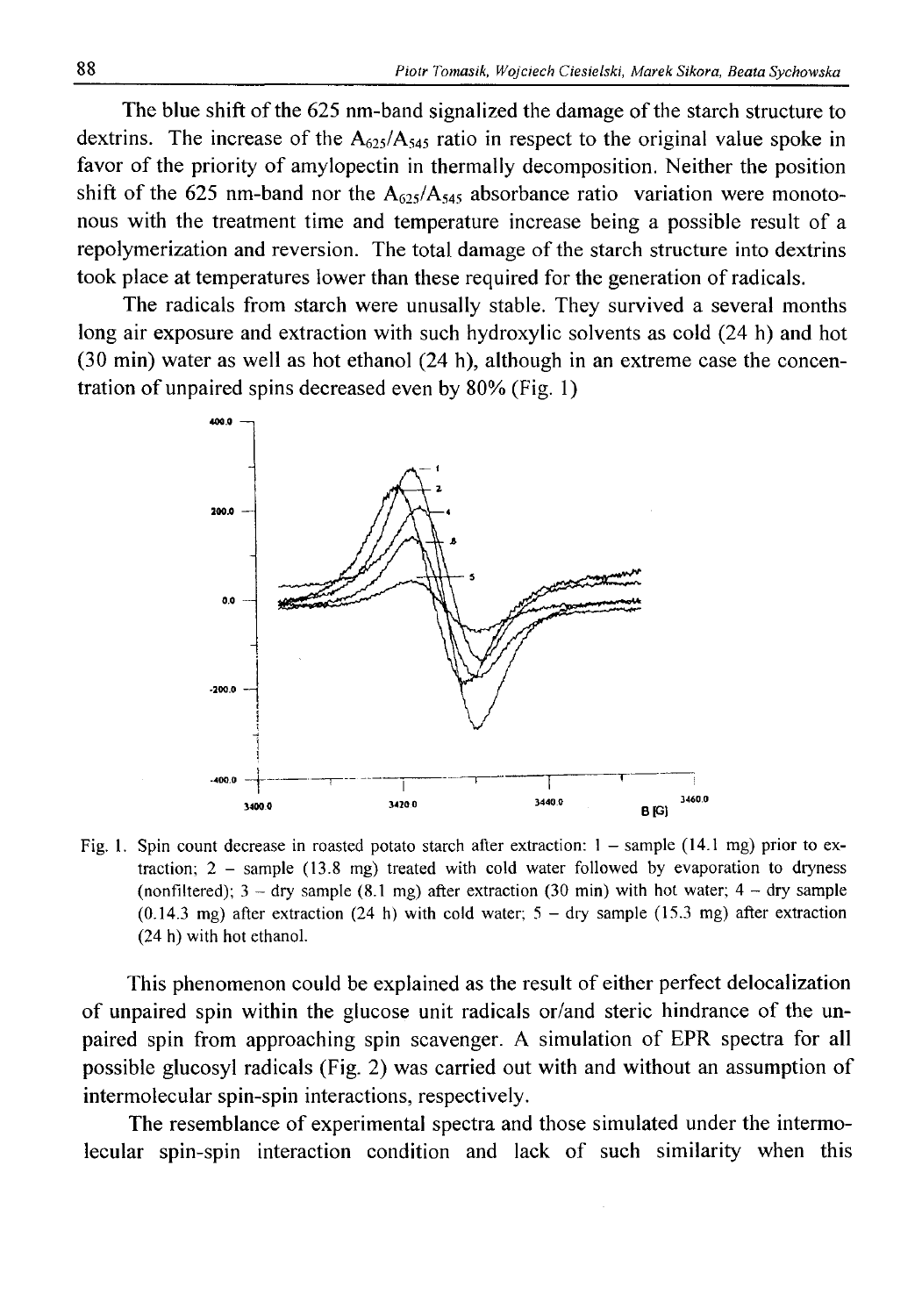The blue shift of the 625 nm-band signalized the damage of the starch structure to dextrins. The increase of the  $A_{625}/A_{545}$  ratio in respect to the original value spoke in favor of the priority of amylopectin in thermally decomposition. Neither the position shift of the 625 nm-band nor the  $A_{625}/A_{545}$  absorbance ratio variation were monotonous with the treatment time and temperature increase being a possible result of a repolymerization and reversion. The total damage of the starch structure into dextrins took place at temperatures lower than these required for the generation of radicals.

The radicals from starch were unusally stable. They survived a several months long air exposure and extraction with such hydroxylic solvents as cold (24 h) and hot (30 min) water as well as hot ethanol (24 h), although in an extreme case the concentration of unpaired spins decreased even by 80% (Fig. 1)



Fig. 1. Spin count decrease in roasted potato starch after extraction:  $1 -$ sample (14.1 mg) prior to ex**traction; 2 - sample (13.8 mg) treated with cold water followed by evaporation to dryness** (nonfiltered);  $3 - \text{dry sample } (8.1 \text{ mg})$  after extraction  $(30 \text{ min})$  with hot water;  $4 - \text{dry sample}$ **(0.14.3 mg) after extraction (24 h) with cold water; 5 - dry sample (15.3 mg) after extraction (24 h) with hot ethanol.**

This phenomenon could be explained as the result of either perfect delocalization of unpaired spin within the glucose unit radicals or/and steric hindrance of the unpaired spin from approaching spin scavenger. A simulation of EPR spectra for all possible glucosyl radicals (Fig. 2 ) was carried out with and without an assumption of intermolecular spin-spin interactions, respectively.

The resemblance of experimental spectra and those simulated under the intermolecular spin-spin interaction condition and lack of such similarity when this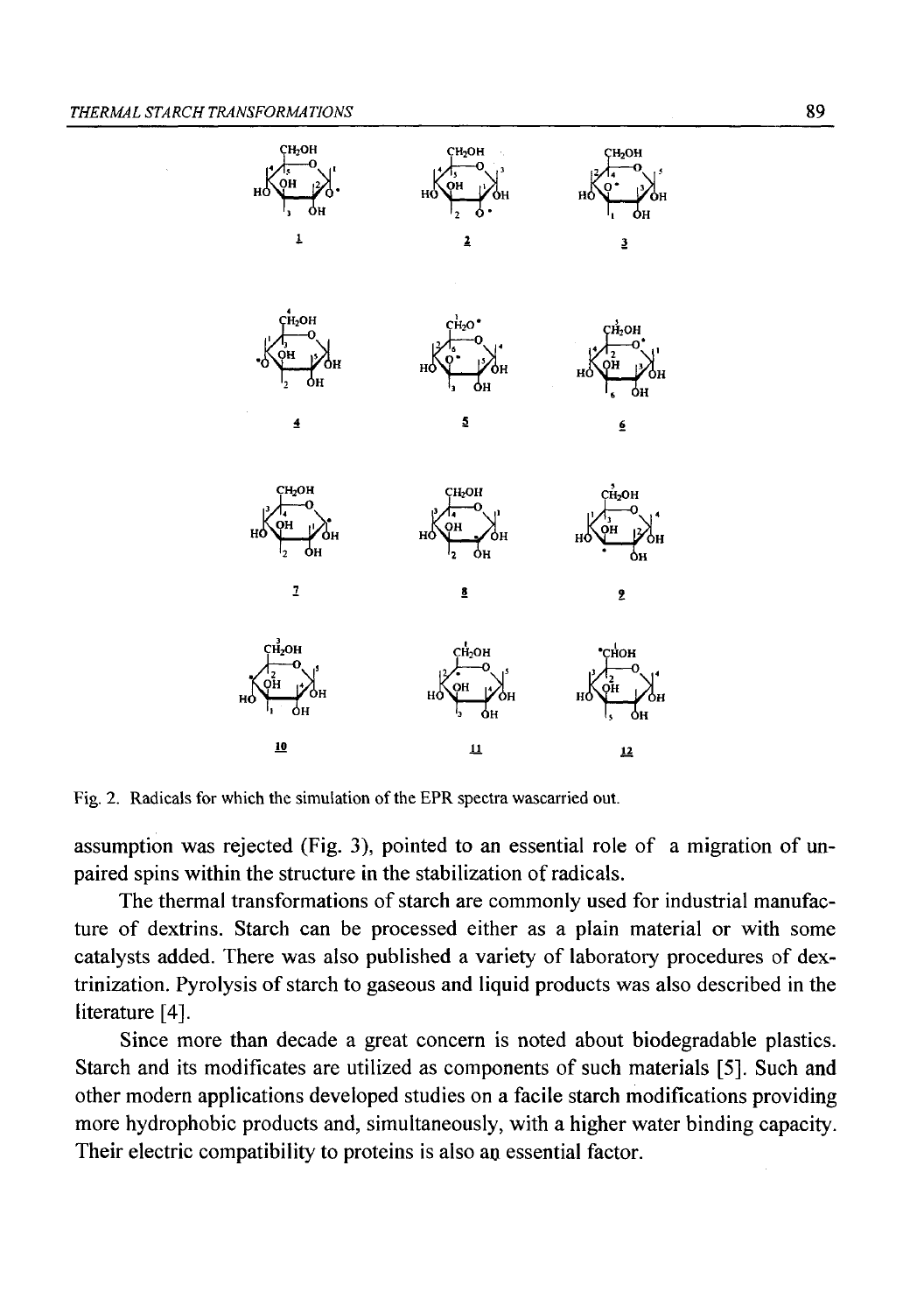

Fig. 2. Radicals for which the simulation of the EPR spectra wascarried out.

assumption was rejected (Fig. 3), pointed to an essential role of a migration of unpaired spins within the structure in the stabilization of radicals.

The thermal transformations of starch are commonly used for industrial manufacture of dextrins. Starch can be processed either as a plain material or with some catalysts added. There was also published a variety of laboratory procedures of dextrinization. Pyrolysis of starch to gaseous and liquid products was also described in the literature [4].

Since more than decade a great concern is noted about biodegradable plastics. Starch and its modificates are utilized as components of such materials [5]. Such and other modern applications developed studies on a facile starch modifications providing more hydrophobic products and, simultaneously, with a higher water binding capacity. Their electric compatibility to proteins is also an essential factor.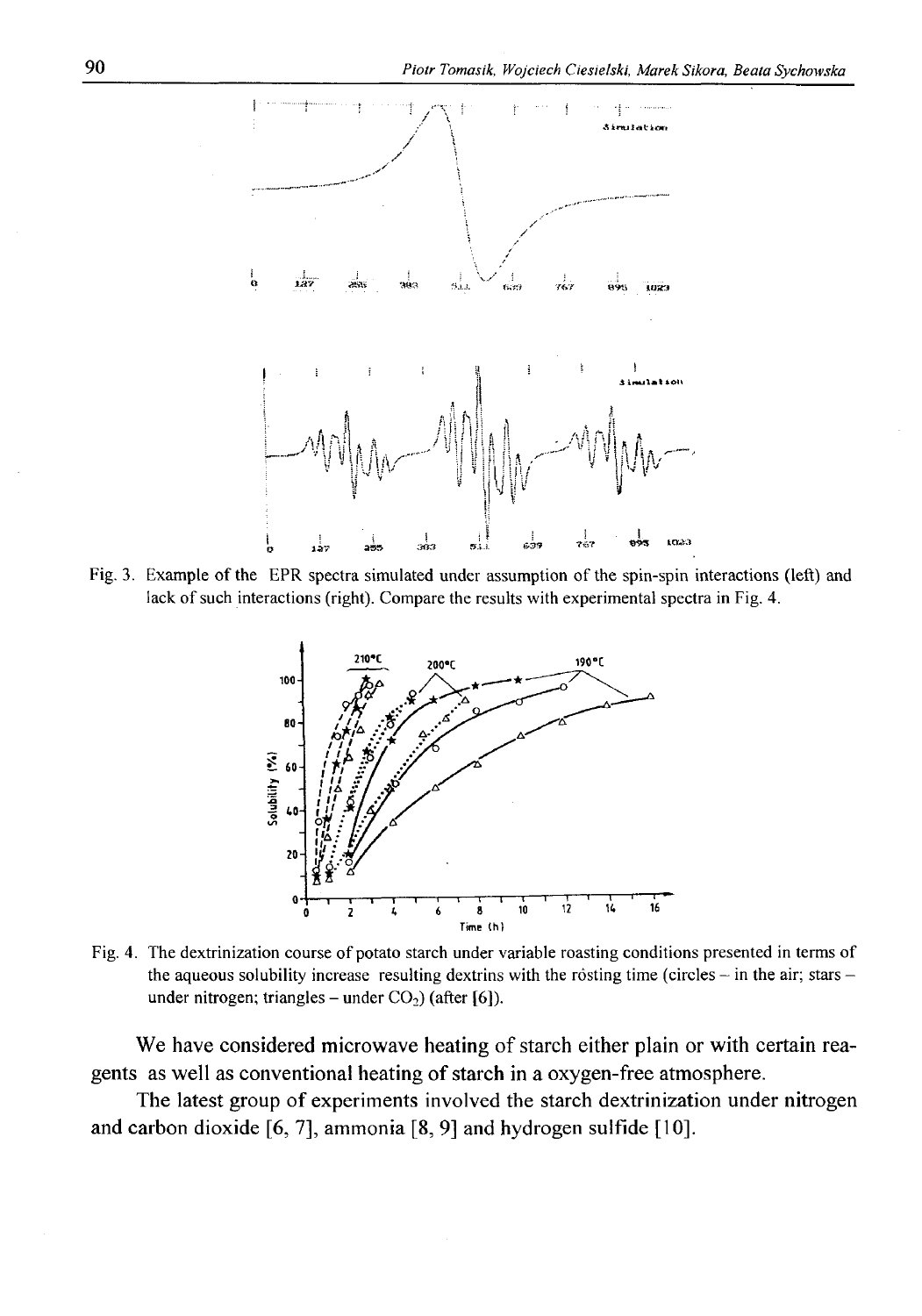

Fig. 3. Example of the EPR spectra simulated under assumption of the spin-spin interactions (left) and lack of such interactions (right). Compare the results with experimental spectra in Fig. 4.



Fig. 4. The dextrinization course of potato starch under variable roasting conditions presented in terms of **the aqueous solubility increase resulting dextrins with the rósting time (circles - in the air; stars**  under nitrogen; triangles – under  $CO<sub>2</sub>$ ) (after [6]).

We have considered microwave heating of starch either plain or with certain reagents as well as conventional heating of starch in a oxygen-free atmosphere.

The latest group of experiments involved the starch dextrinization under nitrogen and carbon dioxide [6, 7], ammonia [8, 9] and hydrogen sulfide [10].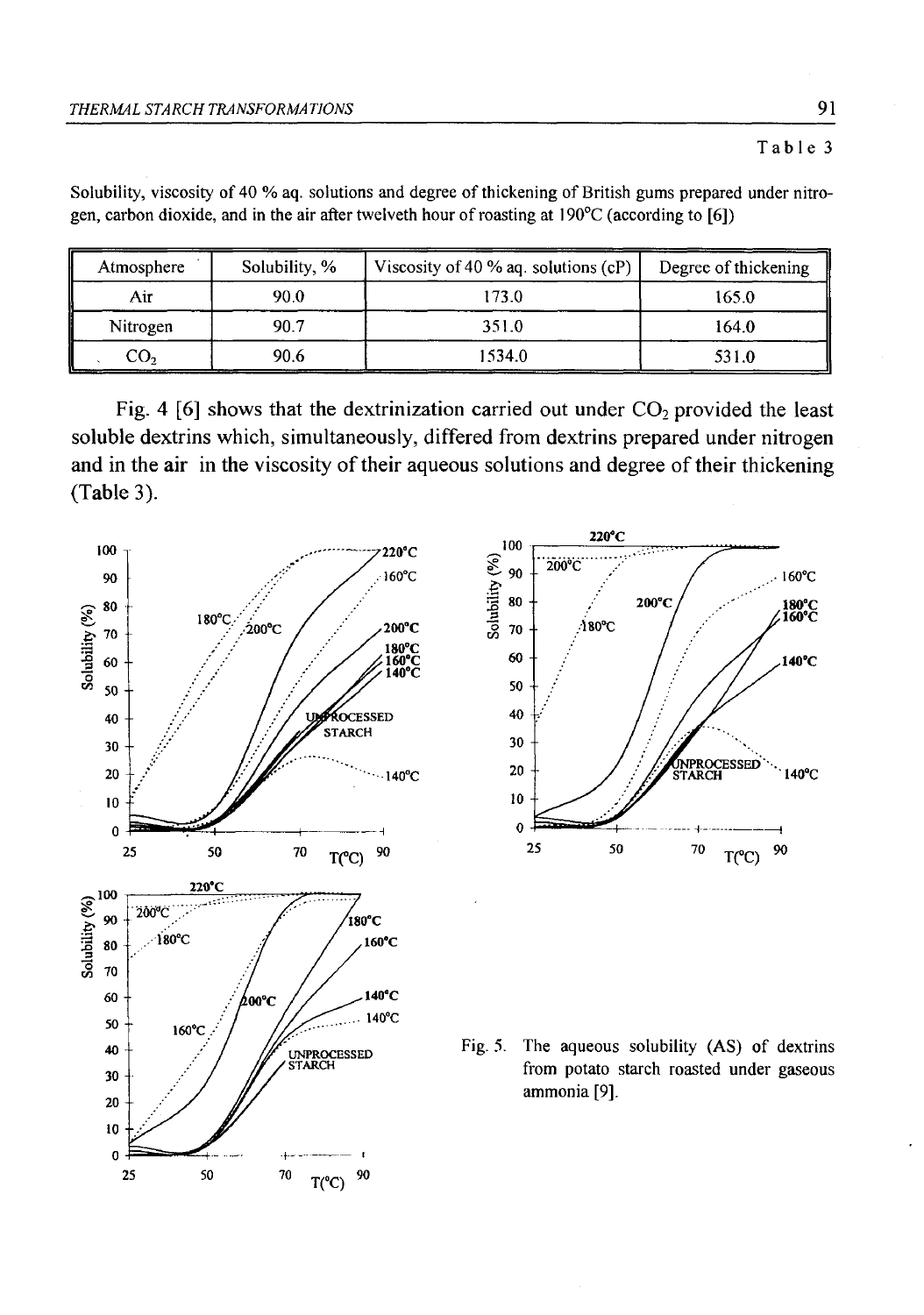| Atmosphere | Solubility, % | Viscosity of 40 % aq. solutions $(cP)$ | Degree of thickening |
|------------|---------------|----------------------------------------|----------------------|
| Air        | 90.0          | 173.0                                  | 165.0                |
| Nitrogen   | 90.7          | 351.0                                  | 164.0                |
| CO,        | 90.6          | 1534.0                                 | 531.0                |

Solubility, viscosity of 40 % aq. solutions and degree of thickening of British gums prepared under nitro**gen, carbon dioxide, and in the air after twelveth hour of roasting at 190°C (according to [6])**

Fig. 4 [6] shows that the dextrinization carried out under  $CO<sub>2</sub>$  provided the least soluble dextrins which, simultaneously, differed from dextrins prepared under nitrogen and in the air in the viscosity of their aqueous solutions and degree of their thickening (Table 3).

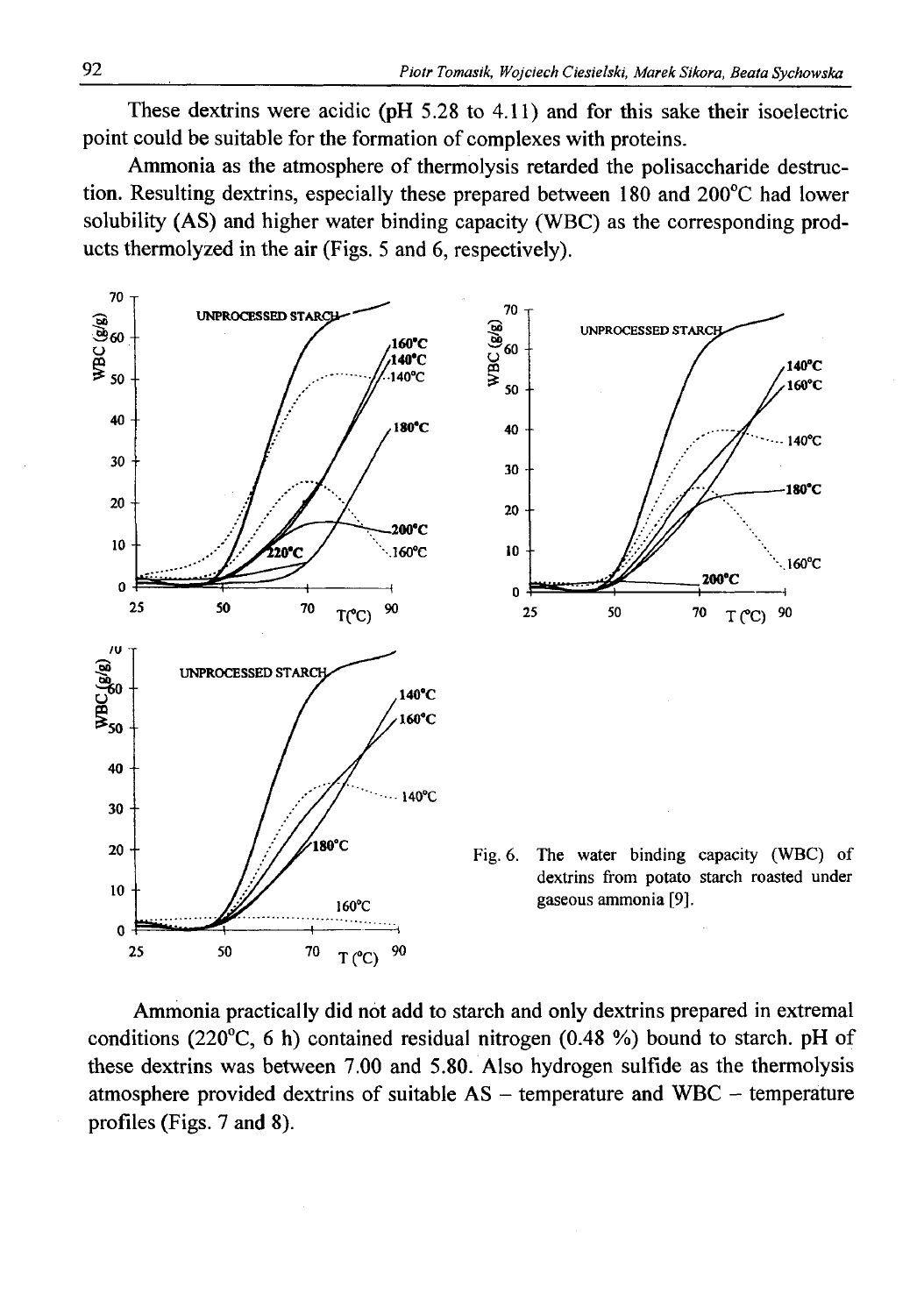These dextrins were acidic (pH 5.28 to 4.11) and for this sake their isoelectric point could be suitable for the formation of complexes with proteins.

Ammonia as the atmosphere of thermolysis retarded the polisaccharide destruction. Resulting dextrins, especially these prepared between 180 and 200°C had lower solubility (AS) and higher water binding capacity (WBC) as the corresponding products thermolyzed in the air (Figs. 5 and 6, respectively).



Ammonia practically did not add to starch and only dextrins prepared in extremal conditions (220°C, 6 h) contained residual nitrogen (0.48 %) bound to starch. pH of these dextrins was between 7.00 and 5.80. Also hydrogen sulfide as the thermolysis atmosphere provided dextrins of suitable  $AS$  – temperature and WBC – temperature profiles (Figs. 7 and 8).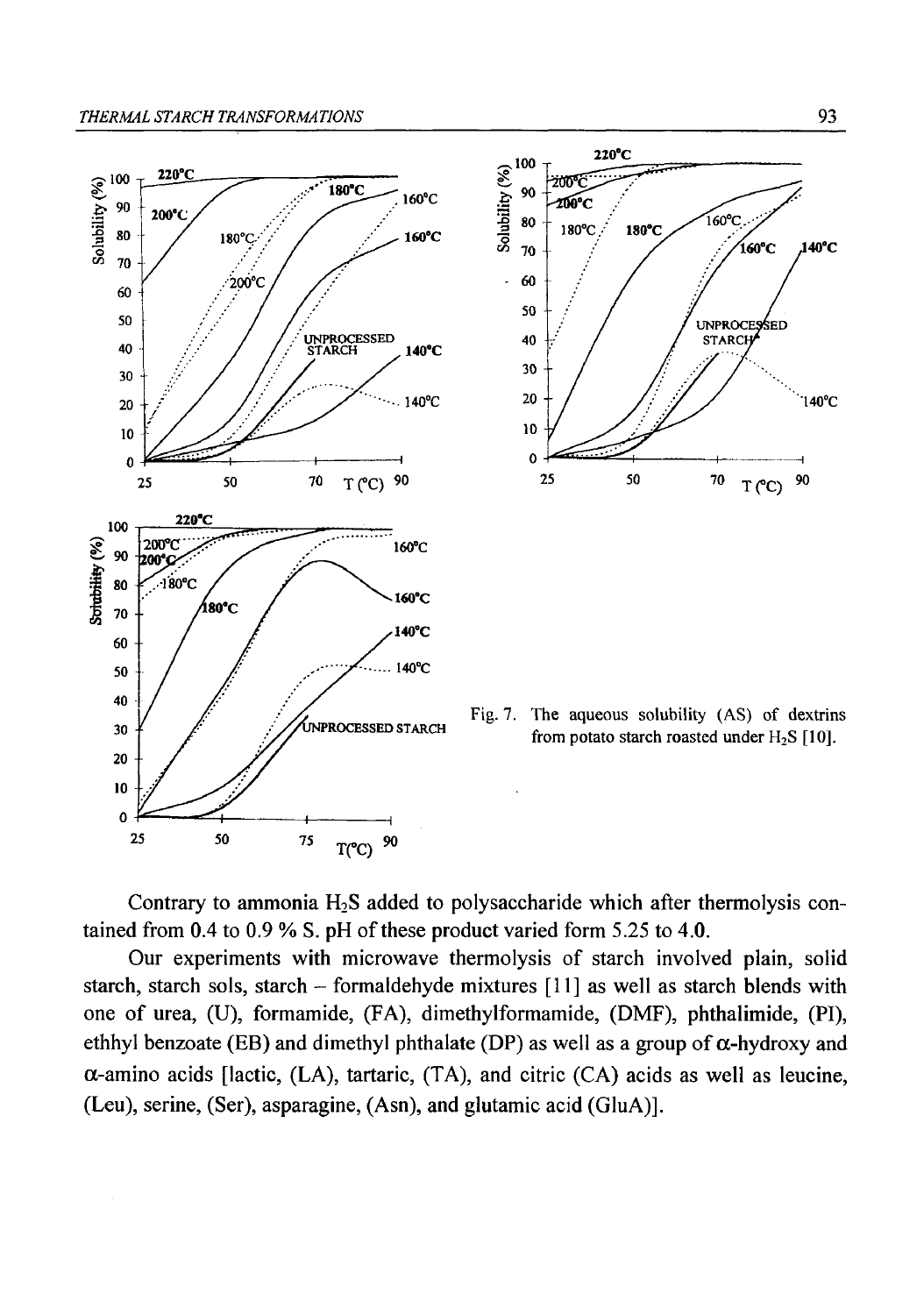

Contrary to ammonia  $H_2S$  added to polysaccharide which after thermolysis contained from 0.4 to 0.9 % S. pH of these product varied form 5.25 to 4.0.

Our experiments with microwave thermolysis of starch involved plain, solid starch, starch sols, starch - formaldehyde mixtures [11] as well as starch blends with one of urea, (U), formamide, (FA), dimethylformamide, (DMF), phthalimide, (PI), ethhyl benzoate (EB) and dimethyl phthalate (DP) as well as a group of  $\alpha$ -hydroxy and  $\alpha$ -amino acids [lactic, (LA), tartaric, (TA), and citric (CA) acids as well as leucine, (Leu), serine, (Ser), asparagine, (Asn), and glutamic acid (GluA)].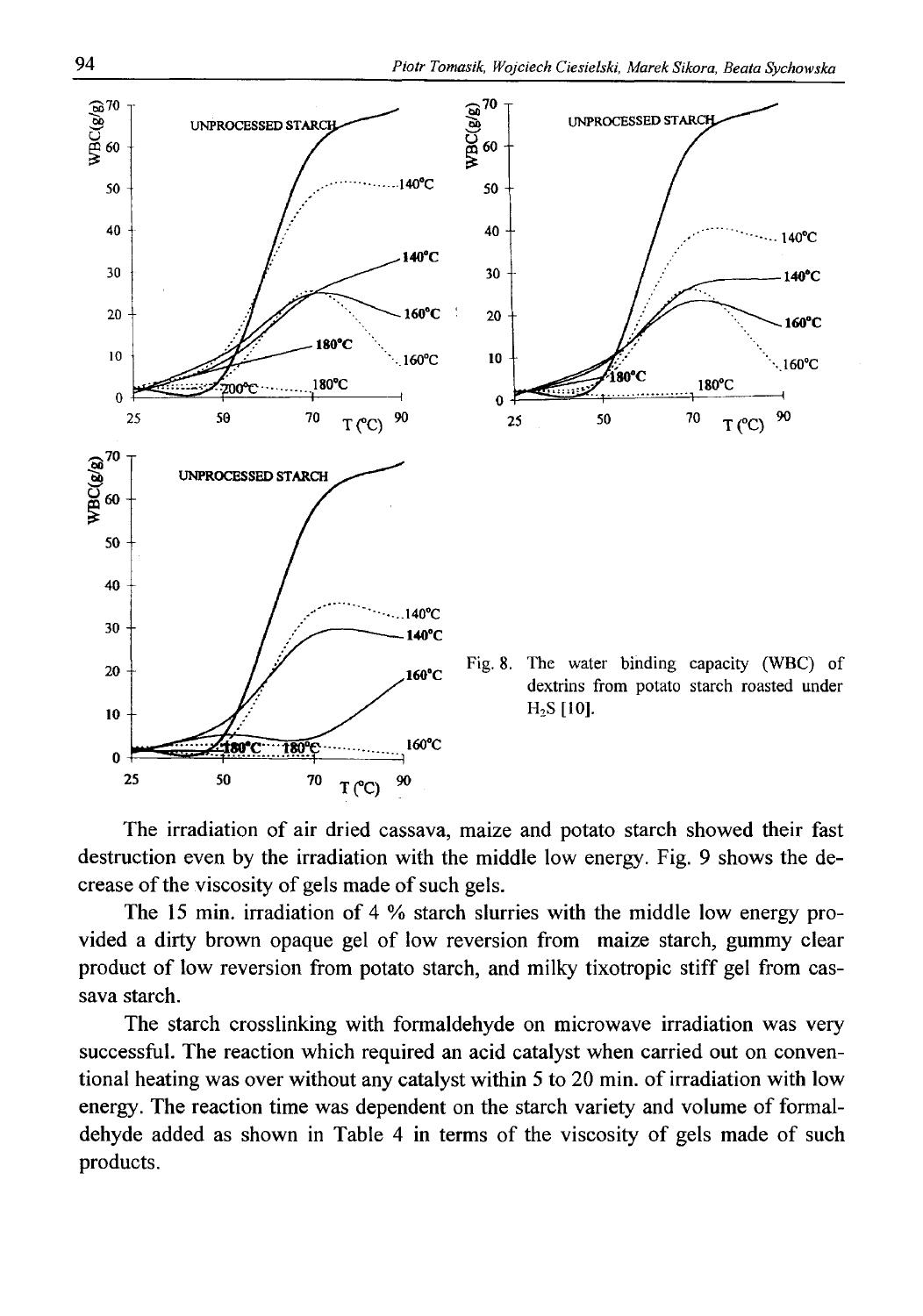

The irradiation of air dried cassava, maize and potato starch showed their fast destruction even by the irradiation with the middle low energy. Fig. 9 shows the decrease of the viscosity of gels made of such gels.

The 15 min. irradiation of 4 % starch slurries with the middle low energy provided a dirty brown opaque gel of low reversion from maize starch, gummy clear product of low reversion from potato starch, and milky tixotropic stiff gel from cassava starch.

The starch crosslinking with formaldehyde on microwave irradiation was very successful. The reaction which required an acid catalyst when carried out on conventional heating was over without any catalyst within 5 to 20 min. of irradiation with low energy. The reaction time was dependent on the starch variety and volume of formaldehyde added as shown in Table 4 in terms of the viscosity of gels made of such products.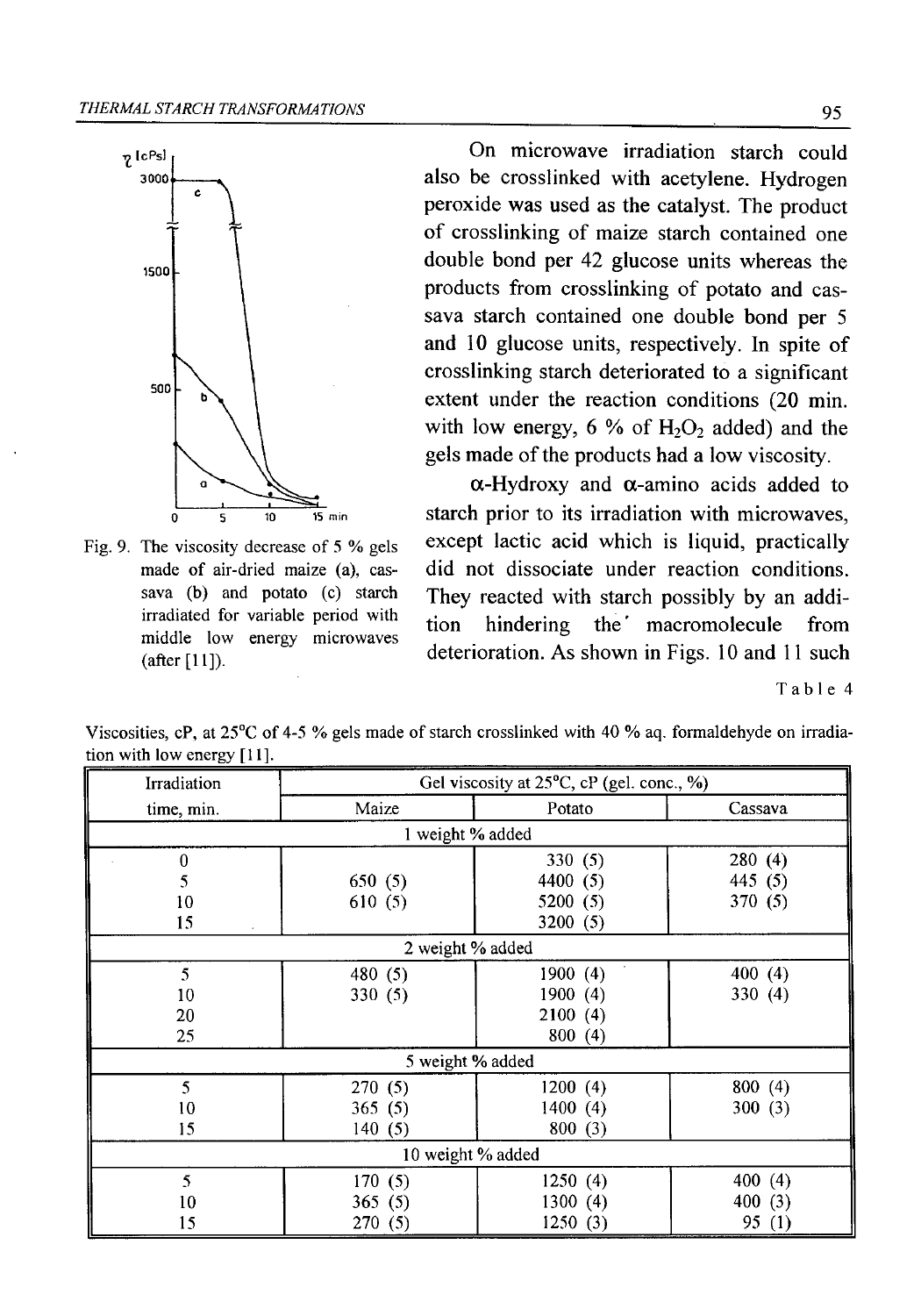

Fig. 9. The viscosity decrease of 5 % gels made of air-dried maize (a), cas**sava (b) and potato (c) starch irradiated for variable period with middle low energy microwaves (after [11]).**

On microwave irradiation starch could also be crosslinked with acetylene. Hydrogen peroxide was used as the catalyst. The product of crosslinking of maize starch contained one double bond per 42 glucose units whereas the products from crosslinking of potato and cassava starch contained one double bond per 5 and 10 glucose units, respectively. In spite of crosslinking starch deteriorated to a significant extent under the reaction conditions (20 min. with low energy,  $6\%$  of H<sub>2</sub>O<sub>2</sub> added) and the gels made of the products had a low viscosity.

 $\alpha$ -Hydroxy and  $\alpha$ -amino acids added to starch prior to its irradiation with microwaves, except lactic acid which is liquid, practically did not dissociate under reaction conditions. They reacted with starch possibly by an addition hindering the' macromolecule from deterioration. As shown in Figs. 10 and 11 such

**Table 4**

| Irradiation       | Gel viscosity at $25^{\circ}$ C, cP (gel. conc., %) |          |            |  |  |  |  |  |
|-------------------|-----------------------------------------------------|----------|------------|--|--|--|--|--|
| time, min.        | Maize                                               | Potato   | Cassava    |  |  |  |  |  |
| 1 weight % added  |                                                     |          |            |  |  |  |  |  |
| 0                 |                                                     | 330(5)   | 280(4)     |  |  |  |  |  |
| 5                 | 650(5)                                              | 4400 (5) | 445 (5)    |  |  |  |  |  |
| 10                | 610(5)                                              | 5200(5)  | 370 (5)    |  |  |  |  |  |
| 15                |                                                     | 3200 (5) |            |  |  |  |  |  |
| 2 weight % added  |                                                     |          |            |  |  |  |  |  |
| 5                 | 480 (5)                                             | 1900(4)  | 400(4)     |  |  |  |  |  |
| 10                | 330(5)                                              | 1900 (4) | 330 (4)    |  |  |  |  |  |
| 20                |                                                     | 2100(4)  |            |  |  |  |  |  |
| 25                |                                                     | 800(4)   |            |  |  |  |  |  |
| 5 weight % added  |                                                     |          |            |  |  |  |  |  |
| 5                 | 270(5)                                              | 1200(4)  | 800(4)     |  |  |  |  |  |
| 10                | 365(5)                                              | 1400(4)  | 300(3)     |  |  |  |  |  |
| 15                | 140(5)                                              | 800(3)   |            |  |  |  |  |  |
| 10 weight % added |                                                     |          |            |  |  |  |  |  |
| 5                 | 170(5)                                              | 1250(4)  | 400(4)     |  |  |  |  |  |
| 10                | 365(5)                                              | 1300 (4) | 400 $(3)$  |  |  |  |  |  |
| 15                | 270 (5)                                             | 1250(3)  | 95.<br>(1) |  |  |  |  |  |

Viscosities, cP, at 25<sup>°</sup>C of 4-5 % gels made of starch crosslinked with 40 % aq. formaldehyde on irradia**tion with low energy [11].**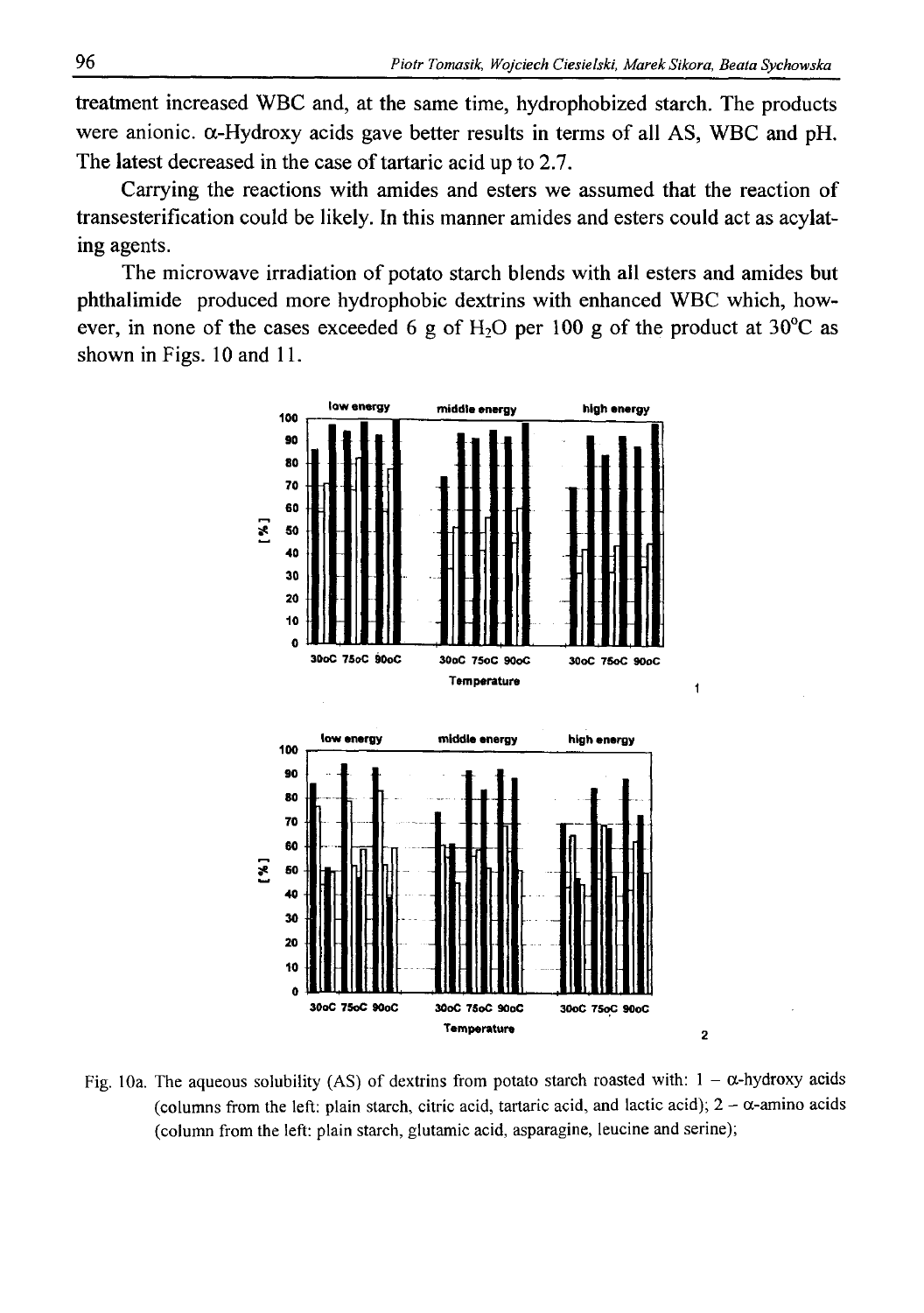treatment increased WBC and, at the same time, hydrophobized starch. The products were anionic.  $\alpha$ -Hydroxy acids gave better results in terms of all AS, WBC and pH. The latest decreased in the case of tartaric acid up to 2.7.

Carrying the reactions with amides and esters we assumed that the reaction of transesterification could be likely. In this manner amides and esters could act as acylating agents.

The microwave irradiation of potato starch blends with all esters and amides but phthalimide produced more hydrophobic dextrins with enhanced WBC which, however, in none of the cases exceeded 6 g of  $H_2O$  per 100 g of the product at 30<sup>o</sup>C as shown in Figs. 10 and 11.



Fig. 10a. The aqueous solubility (AS) of dextrins from potato starch roasted with:  $1 - \alpha$ -hydroxy acids (columns from the left: plain starch, citric acid, tartaric acid, and lactic acid);  $2 - \alpha$ -amino acids **(column from the left: plain starch, glutamic acid, asparagine, leucine and serine);**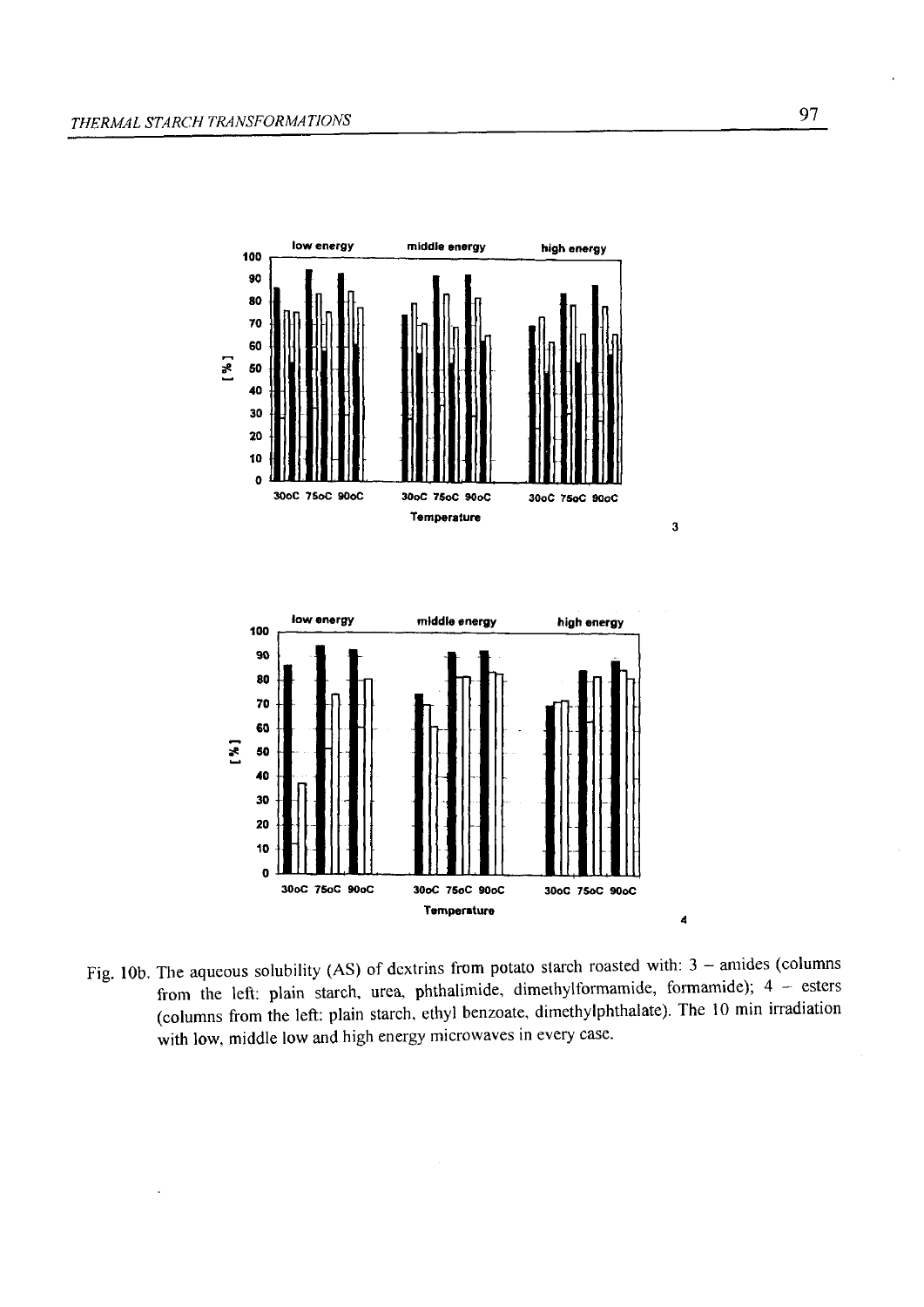

Fig. 10b. The aqueous solubility (AS) of dextrins from potato starch roasted with: 3 - amides (columns **from the left: plain starch, urea, phthalimide, dimethylformamide, formamide); 4 - esters (columns from the left: plain starch, ethyl benzoate, dimethylphthalate). The 10 min irradiation with low, middle low and high energy microwaves in every case.**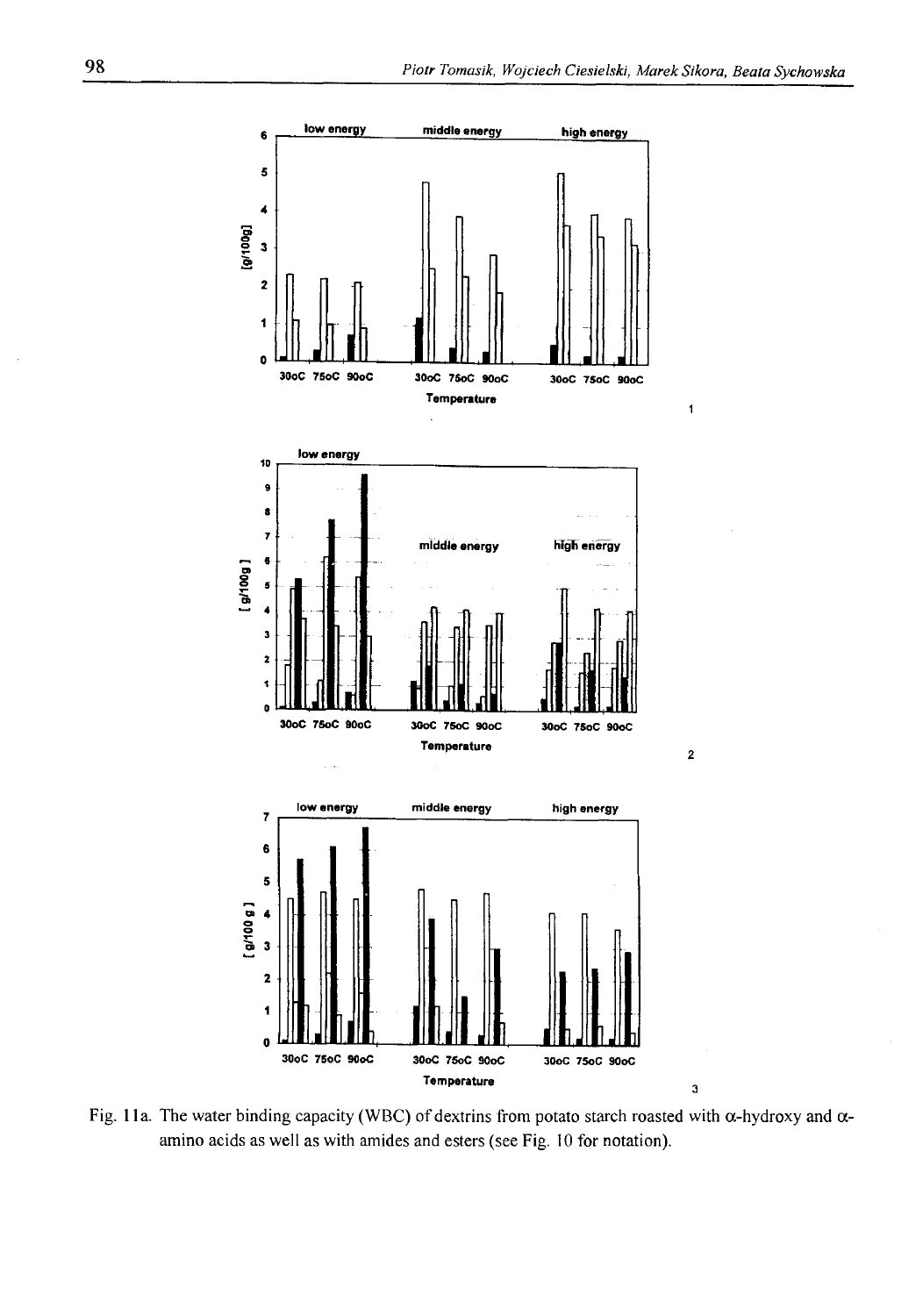

**Fig. 1 la. The water binding capacity (WBC) of dextrins from potato starch roasted with a-hydroxy and aamino acids as well as with amides and esters (see Fig. 10 for notation).**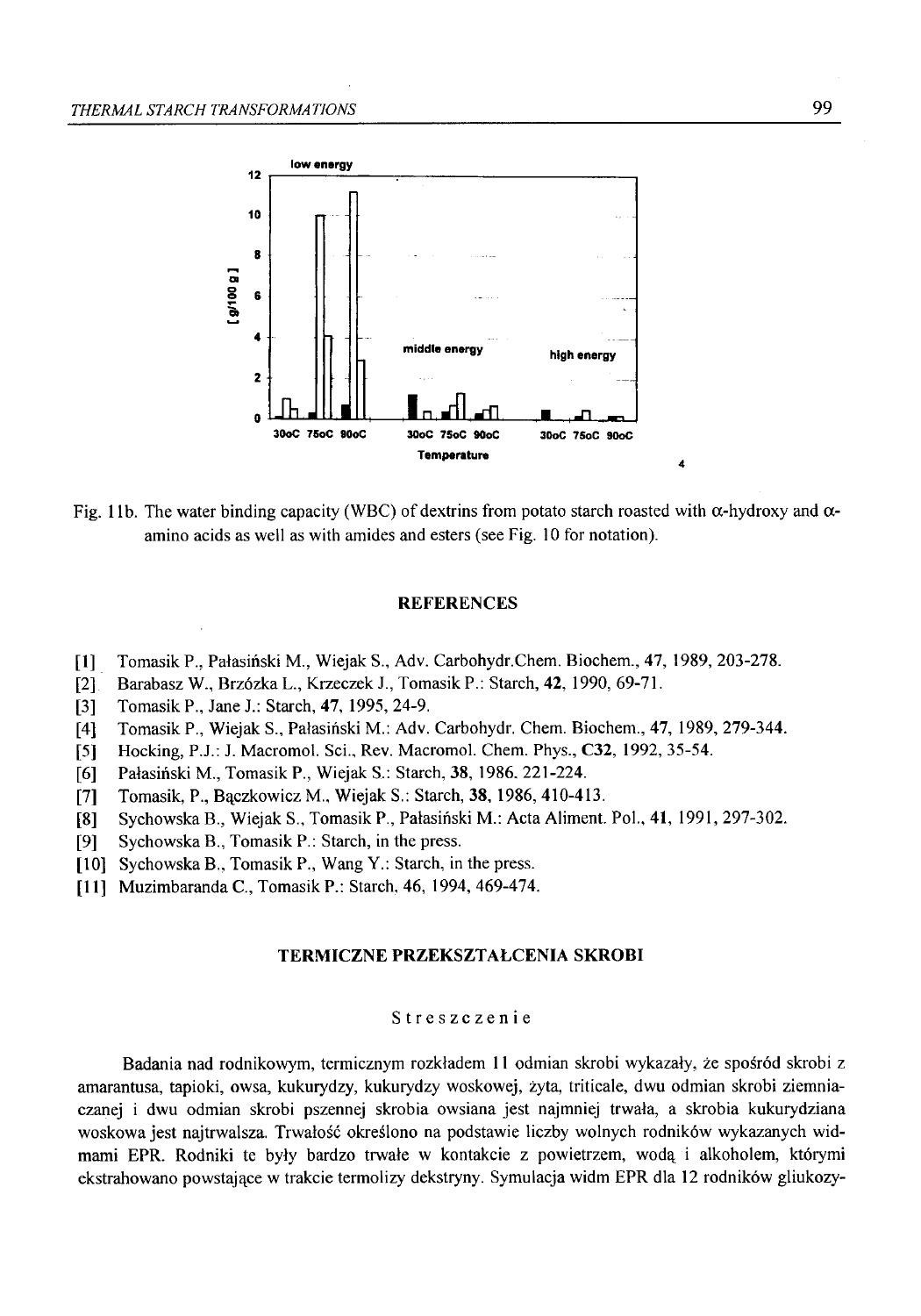

Fig. 11b. The water binding capacity (WBC) of dextrins from potato starch roasted with  $\alpha$ -hydroxy and  $\alpha$ **amino acids as well as with amides and esters (see Fig. 10 for notation).**

### **REFERENCES**

- **[1] Tomasik P., Pałasiński M., Wiejak S., Adv. Carbohydr.Chem. Biochem., 47, 1989, 203-278.**
- **[2] Barabasz W., Brzózka L., Krzeczek J., Tomasik P.: Starch, 42, 1990, 69-71.**
- **[3] Tomasik P., Jane J.: Starch, 47, 1995, 24-9.**
- **[4] Tomasik P., Wiejak S., Pałasiński M.: Adv. Carbohydr. Chem. Biochem., 47, 1989, 279-344.**
- **[5] Hocking, P.J.: J. Macromol. Sci., Rev. Macromol. Chem. Phys., C32, 1992, 35-54.**
- **[6] Pałasiński M., Tomasik P., Wiejak S.: Starch, 38, 1986. 221-224.**
- **[7] Tomasik, P., Bączkowicz M., Wiejak S.: Starch, 38, 1986, 410-413.**
- **[8] Sychowska B., Wiejak S., Tomasik P., Pałasiński M.: Acta Aliment. Pol., 41, 1991, 297-302.**
- **[9] Sychowska B., Tomasik P.: Starch, in the press.**
- **[10] Sychowska B., Tomasik P., Wang Y.: Starch, in the press.**
- **[11] Muzimbaranda C., Tomasik P.: Starch, 46, 1994, 469-474.**

#### **TERMICZNE PRZEKSZTAŁCENIA SKROBI**

### **Streszczenie**

**Badania nad rodnikowym, termicznym rozkładem 11 odmian skrobi wykazały, że spośród skrobi z amarantusa, tapioki, owsa, kukurydzy, kukurydzy woskowej, żyta, triticale, dwu odmian skrobi ziemniaczanej i dwu odmian skrobi pszennej skrobia owsiana jest najmniej trwała, a skrobia kukurydziana woskowa jest najtrwalsza. Trwałość określono na podstawie liczby wolnych rodników wykazanych widmami EPR. Rodniki te były bardzo trwałe w kontakcie z powietrzem, wodą i alkoholem, którymi ekstrahowano powstające w trakcie termolizy dekstryny. Symulacja widm EPR dla 12 rodników gliukozy-**

4